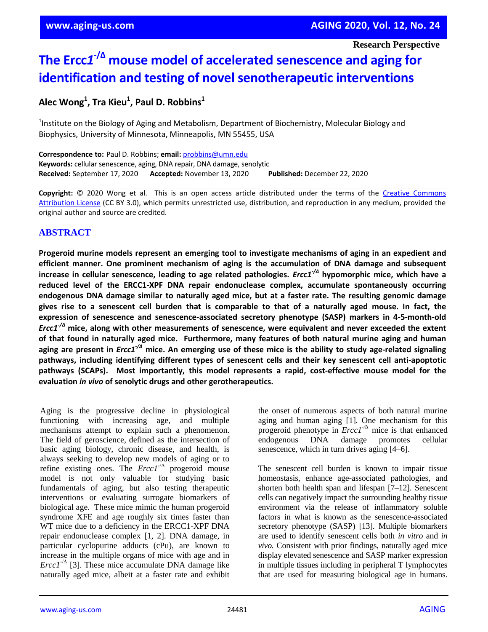**Research Perspective**

# **The Ercc***1* **-/∆ mouse model of accelerated senescence and aging for identification and testing of novel senotherapeutic interventions**

# **Alec Wong<sup>1</sup> , Tra Kieu<sup>1</sup> , Paul D. Robbins<sup>1</sup>**

<sup>1</sup>Institute on the Biology of Aging and Metabolism, Department of Biochemistry, Molecular Biology and Biophysics, University of Minnesota, Minneapolis, MN 55455, USA

**Correspondence to:** Paul D. Robbins; **email:** probbins@umn.edu **Keywords:** cellular senescence, aging, DNA repair, DNA damage, senolytic **Received:** September 17, 2020 **Accepted:** November 13, 2020 **Published:** December 22, 2020

Copyright: © 2020 Wong et al. This is an open access article distributed under the terms of the Creative Commons Attribution License (CC BY 3.0), which permits unrestricted use, distribution, and reproduction in any medium, provided the original author and source are credited.

## **ABSTRACT**

**Progeroid murine models represent an emerging tool to investigate mechanisms of aging in an expedient and efficient manner. One prominent mechanism of aging is the accumulation of DNA damage and subsequent** increase in cellular senescence, leading to age related pathologies. *Ercc1<sup>-/A</sup>* hypomorphic mice, which have a **reduced level of the ERCC1-XPF DNA repair endonuclease complex, accumulate spontaneously occurring endogenous DNA damage similar to naturally aged mice, but at a faster rate. The resulting genomic damage** gives rise to a senescent cell burden that is comparable to that of a naturally aged mouse. In fact, the **expression of senescence and senescence-associated secretory phenotype (SASP) markers in 4-5-month-old** *Ercc1-/Δ* **mice, along with other measurements of senescence, were equivalent and never exceeded the extent of that found in naturally aged mice. Furthermore, many features of both natural murine aging and human** aging are present in *Ercc1<sup>-/A</sup>* mice. An emerging use of these mice is the ability to study age-related signaling **pathways, including identifying different types of senescent cells and their key senescent cell anti-apoptotic pathways (SCAPs). Most importantly, this model represents a rapid, cost-effective mouse model for the evaluation** *in vivo* **of senolytic drugs and other gerotherapeutics.**

Aging is the progressive decline in physiological functioning with increasing age, and multiple mechanisms attempt to explain such a phenomenon. The field of geroscience, defined as the intersection of basic aging biology, chronic disease, and health, is always seeking to develop new models of aging or to refine existing ones. The  $\text{E}rcc1^{-/\Delta}$  progeroid mouse model is not only valuable for studying basic fundamentals of aging, but also testing therapeutic interventions or evaluating surrogate biomarkers of biological age. These mice mimic the human progeroid syndrome XFE and age roughly six times faster than WT mice due to a deficiency in the ERCC1-XPF DNA repair endonuclease complex [1, 2]. DNA damage, in particular cyclopurine adducts (cPu), are known to increase in the multiple organs of mice with age and in *Ercc1*<sup>- $\triangle$ </sup> [3]. These mice accumulate DNA damage like naturally aged mice, albeit at a faster rate and exhibit

the onset of numerous aspects of both natural murine aging and human aging [1]. One mechanism for this progeroid phenotype in *Ercc1-/∆* mice is that enhanced endogenous DNA damage promotes cellular senescence, which in turn drives aging [4–6].

The senescent cell burden is known to impair tissue homeostasis, enhance age-associated pathologies, and shorten both health span and lifespan [7–12]. Senescent cells can negatively impact the surrounding healthy tissue environment via the release of inflammatory soluble factors in what is known as the senescence-associated secretory phenotype (SASP) [13]. Multiple biomarkers are used to identify senescent cells both *in vitro* and *in vivo.* Consistent with prior findings*,* naturally aged mice display elevated senescence and SASP marker expression in multiple tissues including in peripheral T lymphocytes that are used for measuring biological age in humans.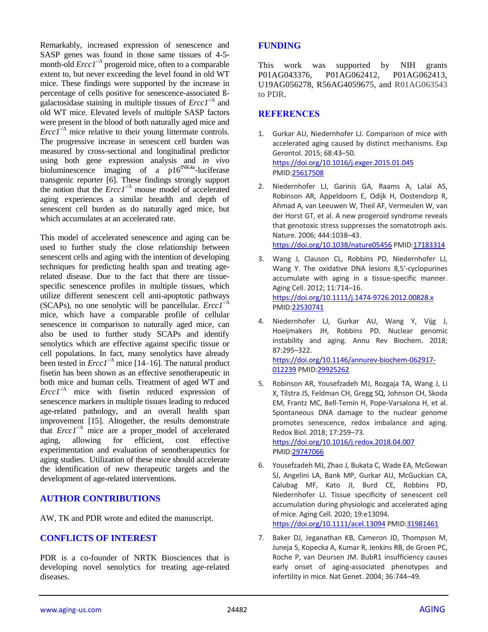Remarkably, increased expression of senescence and SASP genes was found in those same tissues of 4-5 month-old  $Ercc1<sup>-/\Delta</sup>$  progeroid mice, often to a comparable extent to, but never exceeding the level found in old WT mice. These findings were supported by the increase in percentage of cells positive for senescence-associated ßgalactosidase staining in multiple tissues of *Ercc1*-/∆ and old WT mice. Elevated levels of multiple SASP factors were present in the blood of both naturally aged mice and *Ercc1*<sup>- $\triangle$ </sup> mice relative to their young littermate controls. The progressive increase in senescent cell burden was measured by cross-sectional and longitudinal predictor using both gene expression analysis and *in vivo* bioluminescence imaging of a  $p16^{INK4a}$ -luciferase transgenic reporter [6]. These findings strongly support the notion that the  $\text{E}rcc1^{-/∆}$  mouse model of accelerated aging experiences a similar breadth and depth of senescent cell burden as do naturally aged mice, but which accumulates at an accelerated rate.

This model of accelerated senescence and aging can be used to further study the close relationship between senescent cells and aging with the intention of developing techniques for predicting health span and treating agerelated disease. Due to the fact that there are tissuespecific senescence profiles in multiple tissues, which utilize different senescent cell anti-apoptotic pathways (SCAPs), no one senolytic will be pancellular. *Ercc1*-/∆ mice, which have a comparable profile of cellular senescence in comparison to naturally aged mice, can also be used to further study SCAPs and identify senolytics which are effective against specific tissue or cell populations. In fact, many senolytics have already been tested in *Ercc1*-/∆ mice [14–16]. The natural product fisetin has been shown as an effective senotherapeutic in both mice and human cells. Treatment of aged WT and  $Ercc1^{-/\Delta}$  mice with fisetin reduced expression of senescence markers in multiple tissues leading to reduced age-related pathology, and an overall health span improvement [15]. Altogether, the results demonstrate that *Ercc1*-/∆ mice are a proper model of accelerated aging, allowing for efficient, cost effective experimentation and evaluation of senotherapeutics for aging studies. Utilization of these mice should accelerate the identification of new therapeutic targets and the development of age-related interventions.

### **AUTHOR CONTRIBUTIONS**

AW, TK and PDR wrote and edited the manuscript.

#### **CONFLICTS OF INTEREST**

PDR is a co-founder of NRTK Biosciences that is developing novel senolytics for treating age-related diseases.

#### **FUNDING**

This work was supported by NIH grants P01AG043376, P01AG062412, P01AG062413, U19AG056278, R56AG4059675, and R01AG063543 to PDR.

#### **REFERENCES**

- 1. Gurkar AU, Niedernhofer LJ. Comparison of mice with accelerated aging caused by distinct mechanisms. Exp Gerontol. 2015; 68:43–50. <https://doi.org/10.1016/j.exger.2015.01.045> PMI[D:25617508](https://pubmed.ncbi.nlm.nih.gov/25617508)
- 2. Niedernhofer LJ, Garinis GA, Raams A, Lalai AS, Robinson AR, Appeldoorn E, Odijk H, Oostendorp R, Ahmad A, van Leeuwen W, Theil AF, Vermeulen W, van der Horst GT, et al. A new progeroid syndrome reveals that genotoxic stress suppresses the somatotroph axis. Nature. 2006; 444:1038–43. <https://doi.org/10.1038/nature05456> PMI[D:17183314](https://pubmed.ncbi.nlm.nih.gov/17183314)
- 3. Wang J, Clauson CL, Robbins PD, Niedernhofer LJ, Wang Y. The oxidative DNA lesions 8,5'-cyclopurines accumulate with aging in a tissue-specific manner. Aging Cell. 2012; 11:714–16. <https://doi.org/10.1111/j.1474-9726.2012.00828.x> PMI[D:22530741](https://pubmed.ncbi.nlm.nih.gov/22530741)
- 4. Niedernhofer LJ, Gurkar AU, Wang Y, Vijg J, Hoeijmakers JH, Robbins PD. Nuclear genomic instability and aging. Annu Rev Biochem. 2018; 87:295–322. [https://doi.org/10.1146/annurev-biochem-062917-](https://doi.org/10.1146/annurev-biochem-062917-012239)

[012239](https://doi.org/10.1146/annurev-biochem-062917-012239) PMI[D:29925262](https://pubmed.ncbi.nlm.nih.gov/29925262)

- 5. Robinson AR, Yousefzadeh MJ, Rozgaja TA, Wang J, Li X, Tilstra JS, Feldman CH, Gregg SQ, Johnson CH, Skoda EM, Frantz MC, Bell-Temin H, Pope-Varsalona H, et al. Spontaneous DNA damage to the nuclear genome promotes senescence, redox imbalance and aging. Redox Biol. 2018; 17:259–73. <https://doi.org/10.1016/j.redox.2018.04.007>
- PMI[D:29747066](https://pubmed.ncbi.nlm.nih.gov/29747066) 6. Yousefzadeh MJ, Zhao J, Bukata C, Wade EA, McGowan
- SJ, Angelini LA, Bank MP, Gurkar AU, McGuckian CA, Calubag MF, Kato JI, Burd CE, Robbins PD, Niedernhofer LJ. Tissue specificity of senescent cell accumulation during physiologic and accelerated aging of mice. Aging Cell. 2020; 19:e13094.

<https://doi.org/10.1111/acel.13094> PMI[D:31981461](https://pubmed.ncbi.nlm.nih.gov/31981461)

7. Baker DJ, Jeganathan KB, Cameron JD, Thompson M, Juneja S, Kopecka A, Kumar R, Jenkins RB, de Groen PC, Roche P, van Deursen JM. BubR1 insufficiency causes early onset of aging-associated phenotypes and infertility in mice. Nat Genet. 2004; 36:744–49.